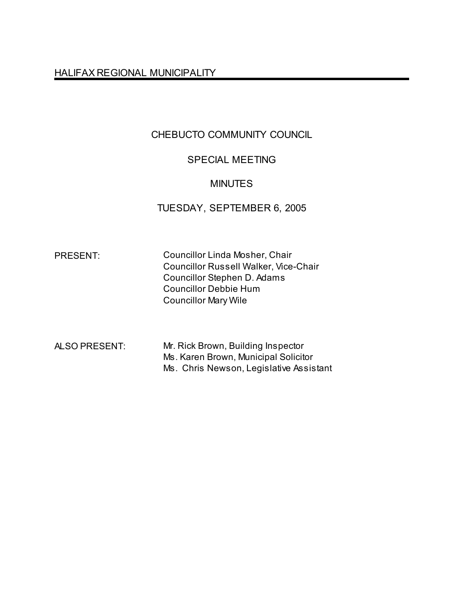HALIFAX REGIONAL MUNICIPALITY

# CHEBUCTO COMMUNITY COUNCIL

# SPECIAL MEETING

## MINUTES

## TUESDAY, SEPTEMBER 6, 2005

PRESENT: Councillor Linda Mosher, Chair Councillor Russell Walker, Vice-Chair Councillor Stephen D. Adams Councillor Debbie Hum Councillor Mary Wile

| ALSO PRESENT: | Mr. Rick Brown, Building Inspector      |
|---------------|-----------------------------------------|
|               | Ms. Karen Brown, Municipal Solicitor    |
|               | Ms. Chris Newson, Legislative Assistant |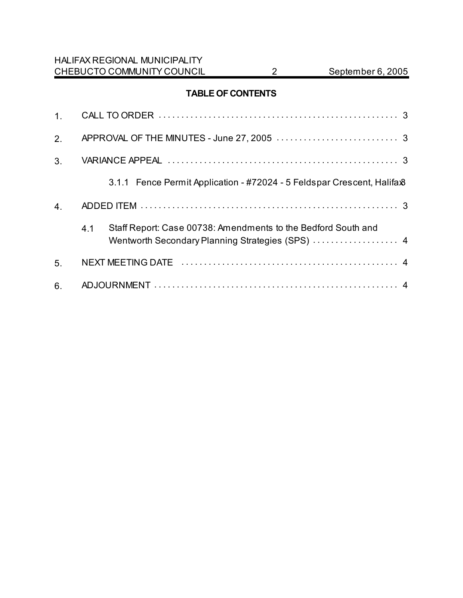## **TABLE OF CONTENTS**

| 2.             |     |                                                                                                                   |
|----------------|-----|-------------------------------------------------------------------------------------------------------------------|
| 3 <sub>1</sub> |     |                                                                                                                   |
|                |     | 3.1.1 Fence Permit Application - #72024 - 5 Feldspar Crescent, Halifax <sup>8</sup>                               |
| 4.             |     |                                                                                                                   |
|                | 4.1 | Staff Report: Case 00738: Amendments to the Bedford South and<br>Wentworth Secondary Planning Strategies (SPS)  4 |
| 5.             |     |                                                                                                                   |
| 6.             |     |                                                                                                                   |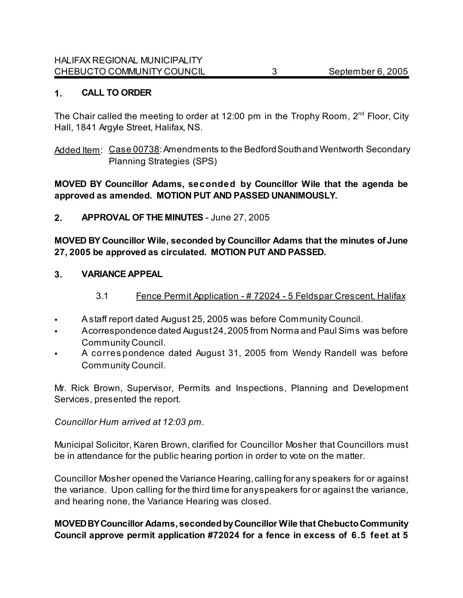## **1. CALL TO ORDER**

The Chair called the meeting to order at 12:00 pm in the Trophy Room,  $2^{nd}$  Floor, City Hall, 1841 Argyle Street, Halifax, NS.

Added Item: Case 00738: Amendments to the Bedford South and Wentworth Secondary Planning Strategies (SPS)

#### **MOVED BY Councillor Adams, seconded by Councillor Wile that the agenda be approved as amended. MOTION PUT AND PASSED UNANIMOUSLY.**

## **2. APPROVAL OF THE MINUTES** - June 27, 2005

**MOVED BY Councillor Wile, seconded by Councillor Adams that the minutes of June 27, 2005 be approved as circulated. MOTION PUT AND PASSED.**

#### **3. VARIANCE APPEAL**

- 3.1 Fence Permit Application # 72024 5 Feldspar Crescent, Halifax
- A staff report dated August 25, 2005 was before Community Council.
- A correspondence dated August 24, 2005 from Norma and Paul Sims was before Community Council.
- A corres pondence dated August 31, 2005 from Wendy Randell was before Community Council.

Mr. Rick Brown, Supervisor, Permits and Inspections, Planning and Development Services, presented the report.

#### *Councillor Hum arrived at 12:03 pm.*

Municipal Solicitor, Karen Brown, clarified for Councillor Mosher that Councillors must be in attendance for the public hearing portion in order to vote on the matter.

Councillor Mosher opened the Variance Hearing, calling for any speakers for or against the variance. Upon calling for the third time for any speakers for or against the variance, and hearing none, the Variance Hearing was closed.

## **MOVED BY Councillor Adams, seconded by Councillor Wile that Chebucto Community Council approve permit application #72024 for a fence in excess of 6.5 feet at 5**